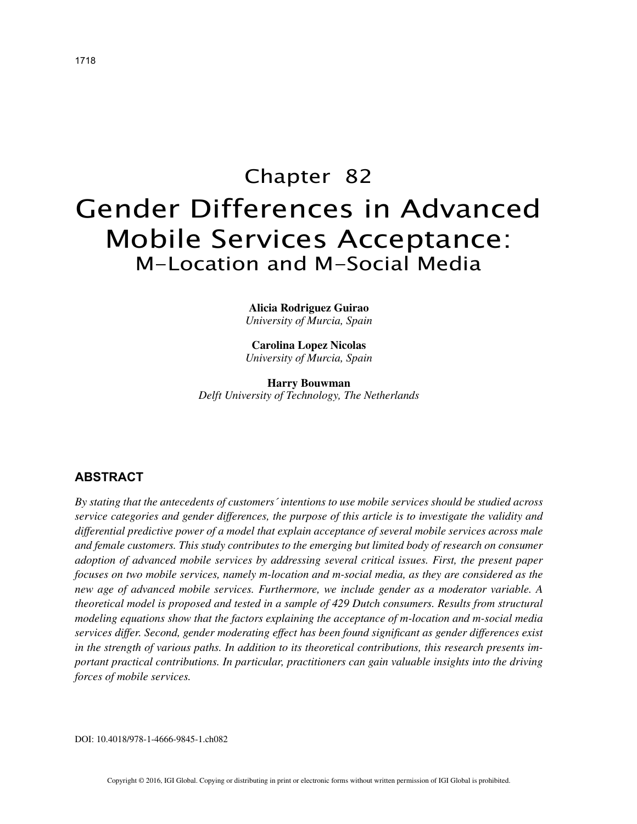# Chapter 82 Gender Differences in Advanced Mobile Services Acceptance: M-Location and M-Social Media

**Alicia Rodriguez Guirao** *University of Murcia, Spain*

**Carolina Lopez Nicolas** *University of Murcia, Spain*

**Harry Bouwman** *Delft University of Technology, The Netherlands*

# **ABSTRACT**

*By stating that the antecedents of customers´ intentions to use mobile services should be studied across service categories and gender differences, the purpose of this article is to investigate the validity and differential predictive power of a model that explain acceptance of several mobile services across male and female customers. This study contributes to the emerging but limited body of research on consumer adoption of advanced mobile services by addressing several critical issues. First, the present paper focuses on two mobile services, namely m-location and m-social media, as they are considered as the new age of advanced mobile services. Furthermore, we include gender as a moderator variable. A theoretical model is proposed and tested in a sample of 429 Dutch consumers. Results from structural modeling equations show that the factors explaining the acceptance of m-location and m-social media services differ. Second, gender moderating effect has been found significant as gender differences exist in the strength of various paths. In addition to its theoretical contributions, this research presents important practical contributions. In particular, practitioners can gain valuable insights into the driving forces of mobile services.*

DOI: 10.4018/978-1-4666-9845-1.ch082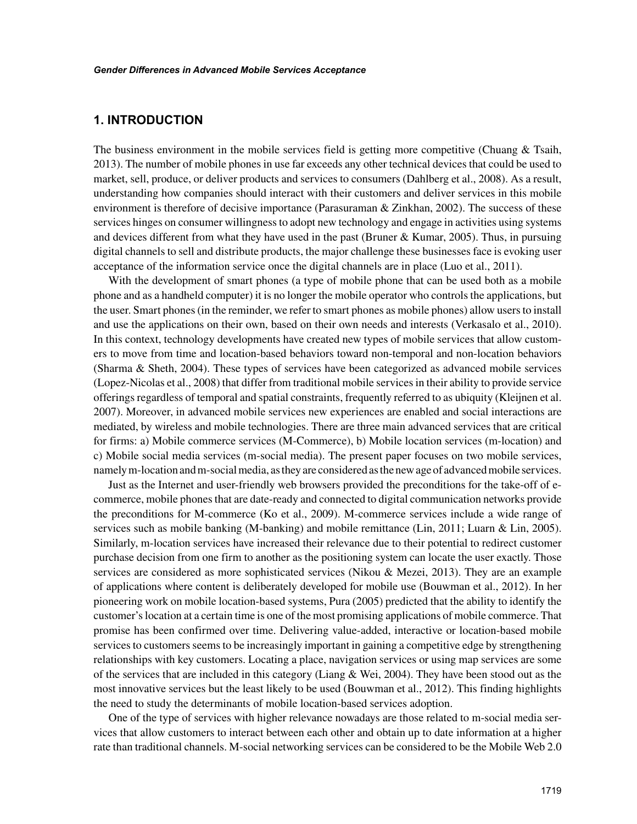# **1. INTRODUCTION**

The business environment in the mobile services field is getting more competitive (Chuang  $\&$  Tsaih, 2013). The number of mobile phones in use far exceeds any other technical devices that could be used to market, sell, produce, or deliver products and services to consumers (Dahlberg et al., 2008). As a result, understanding how companies should interact with their customers and deliver services in this mobile environment is therefore of decisive importance (Parasuraman  $\&$  Zinkhan, 2002). The success of these services hinges on consumer willingness to adopt new technology and engage in activities using systems and devices different from what they have used in the past (Bruner & Kumar, 2005). Thus, in pursuing digital channels to sell and distribute products, the major challenge these businesses face is evoking user acceptance of the information service once the digital channels are in place (Luo et al., 2011).

With the development of smart phones (a type of mobile phone that can be used both as a mobile phone and as a handheld computer) it is no longer the mobile operator who controls the applications, but the user. Smart phones (in the reminder, we refer to smart phones as mobile phones) allow users to install and use the applications on their own, based on their own needs and interests (Verkasalo et al., 2010). In this context, technology developments have created new types of mobile services that allow customers to move from time and location-based behaviors toward non-temporal and non-location behaviors (Sharma & Sheth, 2004). These types of services have been categorized as advanced mobile services (Lopez-Nicolas et al., 2008) that differ from traditional mobile services in their ability to provide service offerings regardless of temporal and spatial constraints, frequently referred to as ubiquity (Kleijnen et al. 2007). Moreover, in advanced mobile services new experiences are enabled and social interactions are mediated, by wireless and mobile technologies. There are three main advanced services that are critical for firms: a) Mobile commerce services (M-Commerce), b) Mobile location services (m-location) and c) Mobile social media services (m-social media). The present paper focuses on two mobile services, namely m-location and m-social media, as they are considered as the new age of advanced mobile services.

Just as the Internet and user-friendly web browsers provided the preconditions for the take-off of ecommerce, mobile phones that are date-ready and connected to digital communication networks provide the preconditions for M-commerce (Ko et al., 2009). M-commerce services include a wide range of services such as mobile banking (M-banking) and mobile remittance (Lin, 2011; Luarn & Lin, 2005). Similarly, m-location services have increased their relevance due to their potential to redirect customer purchase decision from one firm to another as the positioning system can locate the user exactly. Those services are considered as more sophisticated services (Nikou & Mezei, 2013). They are an example of applications where content is deliberately developed for mobile use (Bouwman et al., 2012). In her pioneering work on mobile location-based systems, Pura (2005) predicted that the ability to identify the customer's location at a certain time is one of the most promising applications of mobile commerce. That promise has been confirmed over time. Delivering value-added, interactive or location-based mobile services to customers seems to be increasingly important in gaining a competitive edge by strengthening relationships with key customers. Locating a place, navigation services or using map services are some of the services that are included in this category (Liang  $\&$  Wei, 2004). They have been stood out as the most innovative services but the least likely to be used (Bouwman et al., 2012). This finding highlights the need to study the determinants of mobile location-based services adoption.

One of the type of services with higher relevance nowadays are those related to m-social media services that allow customers to interact between each other and obtain up to date information at a higher rate than traditional channels. M-social networking services can be considered to be the Mobile Web 2.0